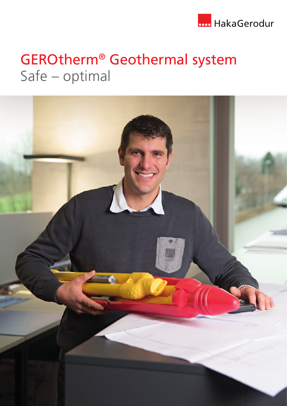

# GEROtherm® Geothermal system Safe – optimal

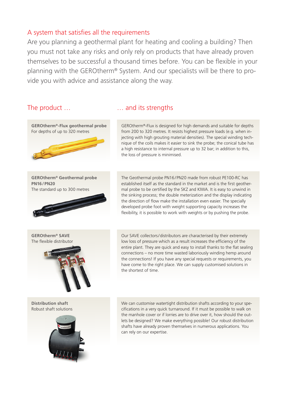### A system that satisfies all the requirements

Are you planning a geothermal plant for heating and cooling a building? Then you must not take any risks and only rely on products that have already proven themselves to be successful a thousand times before. You can be flexible in your planning with the GEROtherm® System. And our specialists will be there to provide you with advice and assistance along the way.

#### The product … **Example 20** 2011 2018 ... and its strengths

![](_page_1_Picture_4.jpeg)

**GEROtherm® Geothermal probe PN16/PN20** The standard up to 300 metres

![](_page_1_Picture_6.jpeg)

**GEROtherm® SAVE** The flexible distributor

![](_page_1_Picture_8.jpeg)

**Distribution shaft** Robust shaft solutions

![](_page_1_Picture_10.jpeg)

GEROtherm®-Flux is designed for high demands and suitable for depths from 200 to 320 metres. It resists highest pressure loads (e.g. when injecting with high grouting material densities). The special winding technique of the coils makes it easier to sink the probe; the conical tube has a high resistance to internal pressure up to 32 bar; in addition to this, the loss of pressure is minimised.

The Geothermal probe PN16/PN20 made from robust PE100-RC has established itself as the standard in the market and is the first geothermal probe to be certified by the SKZ and KIWA. It is easy to unwind in the sinking process; the double meterization and the display indicating the direction of flow make the installation even easier. The specially developed probe foot with weight supporting capacity increases the flexibility, it is possible to work with weights or by pushing the probe.

Our SAVE collectors/distributors are characterised by their extremely low loss of pressure which as a result increases the efficiency of the entire plant. They are quick and easy to install thanks to the flat sealing connections – no more time wasted laboriously winding hemp around the connections! If you have any special requests or requirements, you have come to the right place. We can supply customised solutions in the shortest of time.

We can customise watertight distribution shafts according to your specifications in a very quick turnaround. If it must be possible to walk on the manhole cover or if lorries are to drive over it, how should the outlets be designed? We make everything possible! Our robust distribution shafts have already proven themselves in numerous applications. You can rely on our expertise.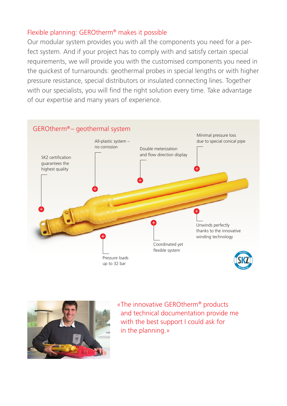## Flexible planning: GEROtherm® makes it possible

Our modular system provides you with all the components you need for a perfect system. And if your project has to comply with and satisfy certain special requirements, we will provide you with the customised components you need in the quickest of turnarounds: geothermal probes in special lengths or with higher pressure resistance, special distributors or insulated connecting lines. Together with our specialists, you will find the right solution every time. Take advantage of our expertise and many years of experience.

![](_page_2_Figure_2.jpeg)

![](_page_2_Picture_3.jpeg)

«The innovative GEROtherm® products and technical documentation provide me with the best support I could ask for in the planning.»